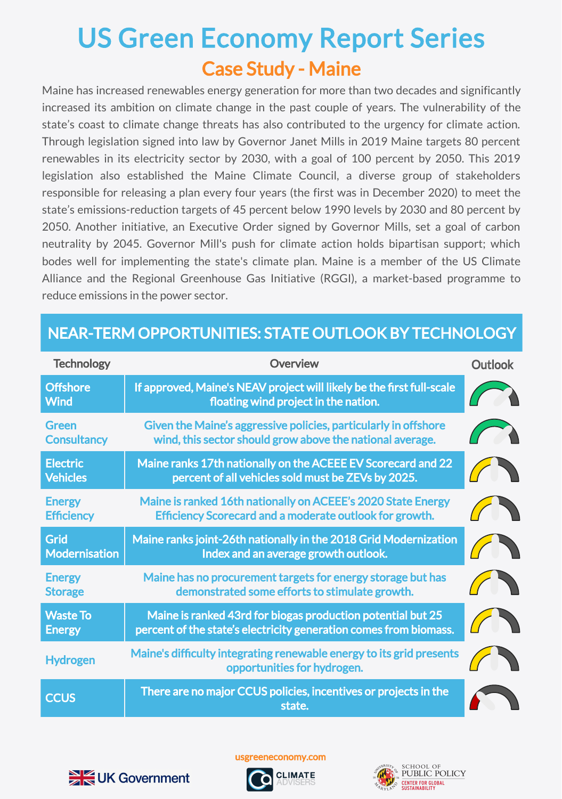## Case Study - Maine US Green Economy Report Series

Maine has increased renewables energy generation for more than two decades and significantly increased its ambition on climate change in the past couple of years. The vulnerability of the state's coast to climate change threats has also contributed to the urgency for climate action. Through legislation signed into law by Governor Janet Mills in 2019 Maine targets 80 percent renewables in its electricity sector by 2030, with a goal of 100 percent by 2050. This 2019 legislation also established the Maine Climate Council, a diverse group of stakeholders responsible for releasing a plan every four years (the first was in December 2020) to meet the state's emissions-reduction targets of 45 percent below 1990 levels by 2030 and 80 percent by 2050. Another initiative, an Executive Order signed by Governor Mills, set a goal of carbon neutrality by 2045. Governor Mill's push for climate action holds bipartisan support; which bodes well for implementing the state's climate plan. Maine is a member of the US Climate Alliance and the Regional Greenhouse Gas Initiative (RGGI), a market-based programme to reduce emissions in the power sector.

## NEAR-TERM OPPORTUNITIES: STATE OUTLOOK BY TECHNOLOGY

| <b>Technology</b>                  | <b>Overview</b>                                                                                                                  | <b>Outlook</b> |
|------------------------------------|----------------------------------------------------------------------------------------------------------------------------------|----------------|
| <b>Offshore</b><br><b>Wind</b>     | If approved, Maine's NEAV project will likely be the first full-scale<br>floating wind project in the nation.                    |                |
| Green<br><b>Consultancy</b>        | Given the Maine's aggressive policies, particularly in offshore<br>wind, this sector should grow above the national average.     |                |
| <b>Electric</b><br><b>Vehicles</b> | Maine ranks 17th nationally on the ACEEE EV Scorecard and 22<br>percent of all vehicles sold must be ZEVs by 2025.               |                |
| <b>Energy</b><br><b>Efficiency</b> | Maine is ranked 16th nationally on ACEEE's 2020 State Energy<br>Efficiency Scorecard and a moderate outlook for growth.          |                |
| Grid<br><b>Modernisation</b>       | Maine ranks joint-26th nationally in the 2018 Grid Modernization<br>Index and an average growth outlook.                         |                |
| <b>Energy</b><br><b>Storage</b>    | Maine has no procurement targets for energy storage but has<br>demonstrated some efforts to stimulate growth.                    |                |
| <b>Waste To</b><br><b>Energy</b>   | Maine is ranked 43rd for biogas production potential but 25<br>percent of the state's electricity generation comes from biomass. |                |
| <b>Hydrogen</b>                    | Maine's difficulty integrating renewable energy to its grid presents<br>opportunities for hydrogen.                              |                |
| <b>CCUS</b>                        | There are no major CCUS policies, incentives or projects in the<br>state.                                                        |                |



usgreeneconomy.com